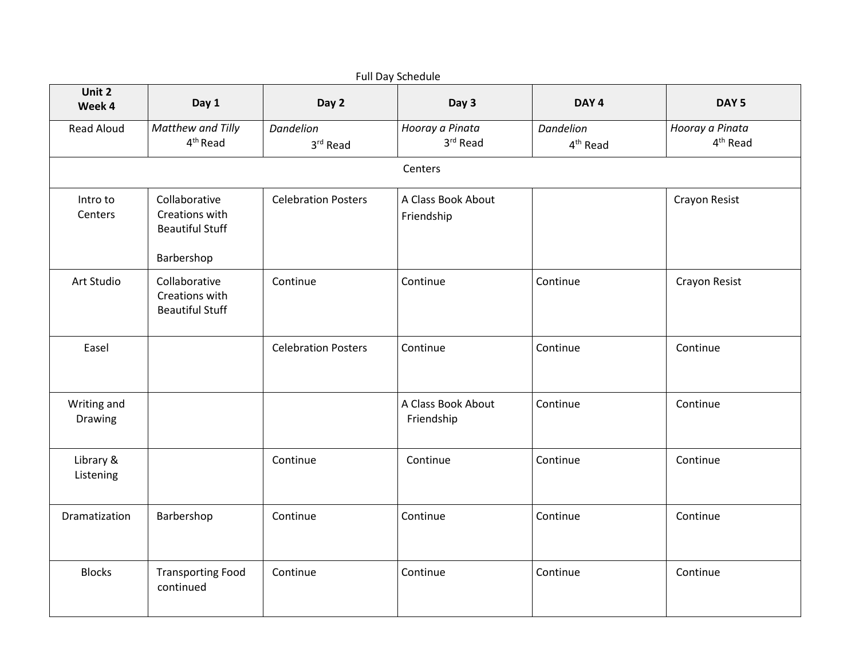| Full Day Schedule      |                                                           |                              |                                  |                                   |                                         |  |  |
|------------------------|-----------------------------------------------------------|------------------------------|----------------------------------|-----------------------------------|-----------------------------------------|--|--|
| Unit 2<br>Week 4       | Day 1                                                     | Day 2                        | Day 3                            | DAY <sub>4</sub>                  | DAY <sub>5</sub>                        |  |  |
| <b>Read Aloud</b>      | Matthew and Tilly<br>4 <sup>th</sup> Read                 | <b>Dandelion</b><br>3rd Read | Hooray a Pinata<br>3rd Read      | Dandelion<br>4 <sup>th</sup> Read | Hooray a Pinata<br>4 <sup>th</sup> Read |  |  |
|                        |                                                           |                              | Centers                          |                                   |                                         |  |  |
| Intro to<br>Centers    | Collaborative<br>Creations with<br><b>Beautiful Stuff</b> | <b>Celebration Posters</b>   | A Class Book About<br>Friendship |                                   | Crayon Resist                           |  |  |
|                        | Barbershop                                                |                              |                                  |                                   |                                         |  |  |
| Art Studio             | Collaborative<br>Creations with<br><b>Beautiful Stuff</b> | Continue                     | Continue                         | Continue                          | Crayon Resist                           |  |  |
| Easel                  |                                                           | <b>Celebration Posters</b>   | Continue                         | Continue                          | Continue                                |  |  |
| Writing and<br>Drawing |                                                           |                              | A Class Book About<br>Friendship | Continue                          | Continue                                |  |  |
| Library &<br>Listening |                                                           | Continue                     | Continue                         | Continue                          | Continue                                |  |  |
| Dramatization          | Barbershop                                                | Continue                     | Continue                         | Continue                          | Continue                                |  |  |
| <b>Blocks</b>          | <b>Transporting Food</b><br>continued                     | Continue                     | Continue                         | Continue                          | Continue                                |  |  |